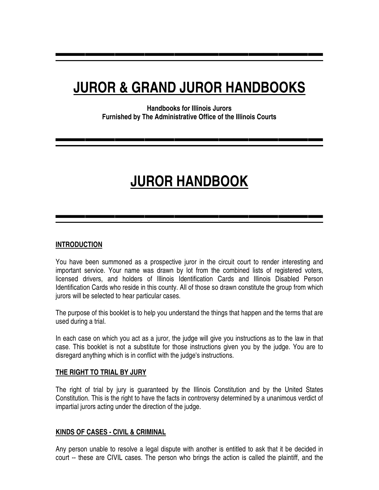## **JUROR & GRAND JUROR HANDBOOKS**

▬▬▬▬▬▬▬▬▬▬▬▬▬▬▬▬▬▬

**Handbooks for Illinois Jurors Furnished by The Administrative Office of the Illinois Courts** 

▬▬▬▬▬▬▬▬▬▬▬▬▬▬▬▬▬▬

# **JUROR HANDBOOK**

▬▬▬▬▬▬▬▬▬▬▬▬▬▬▬▬▬▬

## **INTRODUCTION**

You have been summoned as a prospective juror in the circuit court to render interesting and important service. Your name was drawn by lot from the combined lists of registered voters, licensed drivers, and holders of Illinois Identification Cards and Illinois Disabled Person Identification Cards who reside in this county. All of those so drawn constitute the group from which jurors will be selected to hear particular cases.

The purpose of this booklet is to help you understand the things that happen and the terms that are used during a trial.

In each case on which you act as a juror, the judge will give you instructions as to the law in that case. This booklet is not a substitute for those instructions given you by the judge. You are to disregard anything which is in conflict with the judge's instructions.

## **THE RIGHT TO TRIAL BY JURY**

The right of trial by jury is guaranteed by the Illinois Constitution and by the United States Constitution. This is the right to have the facts in controversy determined by a unanimous verdict of impartial jurors acting under the direction of the judge.

## **KINDS OF CASES - CIVIL & CRIMINAL**

Any person unable to resolve a legal dispute with another is entitled to ask that it be decided in court -- these are CIVIL cases. The person who brings the action is called the plaintiff, and the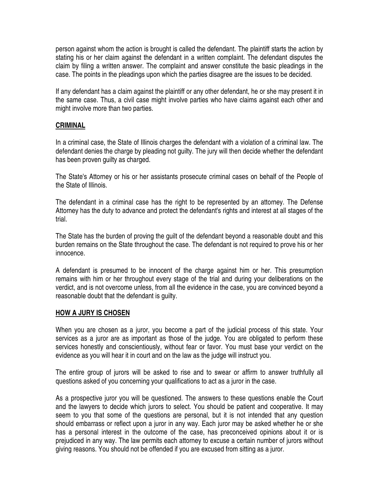person against whom the action is brought is called the defendant. The plaintiff starts the action by stating his or her claim against the defendant in a written complaint. The defendant disputes the claim by filing a written answer. The complaint and answer constitute the basic pleadings in the case. The points in the pleadings upon which the parties disagree are the issues to be decided.

If any defendant has a claim against the plaintiff or any other defendant, he or she may present it in the same case. Thus, a civil case might involve parties who have claims against each other and might involve more than two parties.

## **CRIMINAL**

In a criminal case, the State of Illinois charges the defendant with a violation of a criminal law. The defendant denies the charge by pleading not guilty. The jury will then decide whether the defendant has been proven guilty as charged.

The State's Attorney or his or her assistants prosecute criminal cases on behalf of the People of the State of Illinois.

The defendant in a criminal case has the right to be represented by an attorney. The Defense Attorney has the duty to advance and protect the defendant's rights and interest at all stages of the trial.

The State has the burden of proving the guilt of the defendant beyond a reasonable doubt and this burden remains on the State throughout the case. The defendant is not required to prove his or her innocence.

A defendant is presumed to be innocent of the charge against him or her. This presumption remains with him or her throughout every stage of the trial and during your deliberations on the verdict, and is not overcome unless, from all the evidence in the case, you are convinced beyond a reasonable doubt that the defendant is guilty.

## **HOW A JURY IS CHOSEN**

When you are chosen as a juror, you become a part of the judicial process of this state. Your services as a juror are as important as those of the judge. You are obligated to perform these services honestly and conscientiously, without fear or favor. You must base your verdict on the evidence as you will hear it in court and on the law as the judge will instruct you.

The entire group of jurors will be asked to rise and to swear or affirm to answer truthfully all questions asked of you concerning your qualifications to act as a juror in the case.

As a prospective juror you will be questioned. The answers to these questions enable the Court and the lawyers to decide which jurors to select. You should be patient and cooperative. It may seem to you that some of the questions are personal, but it is not intended that any question should embarrass or reflect upon a juror in any way. Each juror may be asked whether he or she has a personal interest in the outcome of the case, has preconceived opinions about it or is prejudiced in any way. The law permits each attorney to excuse a certain number of jurors without giving reasons. You should not be offended if you are excused from sitting as a juror.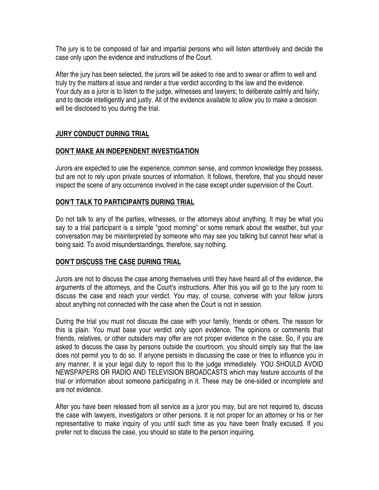The jury is to be composed of fair and impartial persons who will listen attentively and decide the case only upon the evidence and instructions of the Court.

After the jury has been selected, the jurors will be asked to rise and to swear or affirm to well and truly try the matters at issue and render a true verdict according to the law and the evidence. Your duty as a juror is to listen to the judge, witnesses and lawyers; to deliberate calmly and fairly; and to decide intelligently and justly. All of the evidence available to allow you to make a decision will be disclosed to you during the trial.

## **JURY CONDUCT DURING TRIAL**

## **DON'T MAKE AN INDEPENDENT INVESTIGATION**

Jurors are expected to use the experience, common sense, and common knowledge they possess, but are not to rely upon private sources of information. It follows, therefore, that you should never inspect the scene of any occurrence involved in the case except under supervision of the Court.

#### **DON'T TALK TO PARTICIPANTS DURING TRIAL**

Do not talk to any of the parties, witnesses, or the attorneys about anything. It may be what you say to a trial participant is a simple "good morning" or some remark about the weather, but your conversation may be misinterpreted by someone who may see you talking but cannot hear what is being said. To avoid misunderstandings, therefore, say nothing.

## **DON'T DISCUSS THE CASE DURING TRIAL**

Jurors are not to discuss the case among themselves until they have heard all of the evidence, the arguments of the attorneys, and the Court's instructions. After this you will go to the jury room to discuss the case and reach your verdict. You may, of course, converse with your fellow jurors about anything not connected with the case when the Court is not in session.

During the trial you must not discuss the case with your family, friends or others. The reason for this is plain. You must base your verdict only upon evidence. The opinions or comments that friends, relatives, or other outsiders may offer are not proper evidence in the case. So, if you are asked to discuss the case by persons outside the courtroom, you should simply say that the law does not permit you to do so. If anyone persists in discussing the case or tries to influence you in any manner, it is your legal duty to report this to the judge immediately. YOU SHOULD AVOID NEWSPAPERS OR RADIO AND TELEVISION BROADCASTS which may feature accounts of the trial or information about someone participating in it. These may be one-sided or incomplete and are not evidence.

After you have been released from all service as a juror you may, but are not required to, discuss the case with lawyers, investigators or other persons. It is not proper for an attorney or his or her representative to make inquiry of you until such time as you have been finally excused. If you prefer not to discuss the case, you should so state to the person inquiring.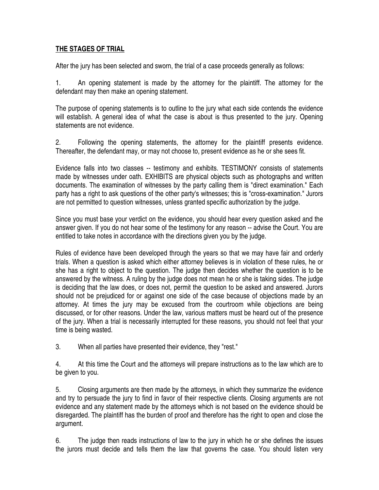## **THE STAGES OF TRIAL**

After the jury has been selected and sworn, the trial of a case proceeds generally as follows:

1. An opening statement is made by the attorney for the plaintiff. The attorney for the defendant may then make an opening statement.

The purpose of opening statements is to outline to the jury what each side contends the evidence will establish. A general idea of what the case is about is thus presented to the jury. Opening statements are not evidence.

2. Following the opening statements, the attorney for the plaintiff presents evidence. Thereafter, the defendant may, or may not choose to, present evidence as he or she sees fit.

Evidence falls into two classes -- testimony and exhibits. TESTIMONY consists of statements made by witnesses under oath. EXHIBITS are physical objects such as photographs and written documents. The examination of witnesses by the party calling them is "direct examination." Each party has a right to ask questions of the other party's witnesses; this is "cross-examination." Jurors are not permitted to question witnesses, unless granted specific authorization by the judge.

Since you must base your verdict on the evidence, you should hear every question asked and the answer given. If you do not hear some of the testimony for any reason -- advise the Court. You are entitled to take notes in accordance with the directions given you by the judge.

Rules of evidence have been developed through the years so that we may have fair and orderly trials. When a question is asked which either attorney believes is in violation of these rules, he or she has a right to object to the question. The judge then decides whether the question is to be answered by the witness. A ruling by the judge does not mean he or she is taking sides. The judge is deciding that the law does, or does not, permit the question to be asked and answered. Jurors should not be prejudiced for or against one side of the case because of objections made by an attorney. At times the jury may be excused from the courtroom while objections are being discussed, or for other reasons. Under the law, various matters must be heard out of the presence of the jury. When a trial is necessarily interrupted for these reasons, you should not feel that your time is being wasted.

3. When all parties have presented their evidence, they "rest."

4. At this time the Court and the attorneys will prepare instructions as to the law which are to be given to you.

5. Closing arguments are then made by the attorneys, in which they summarize the evidence and try to persuade the jury to find in favor of their respective clients. Closing arguments are not evidence and any statement made by the attorneys which is not based on the evidence should be disregarded. The plaintiff has the burden of proof and therefore has the right to open and close the argument.

6. The judge then reads instructions of law to the jury in which he or she defines the issues the jurors must decide and tells them the law that governs the case. You should listen very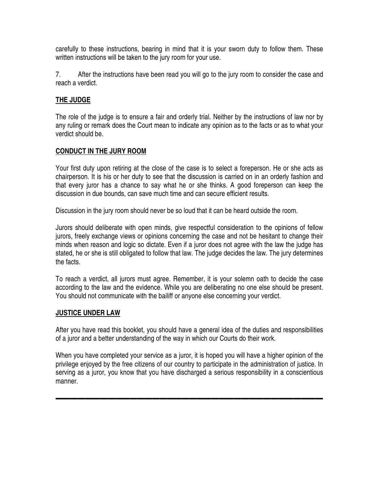carefully to these instructions, bearing in mind that it is your sworn duty to follow them. These written instructions will be taken to the jury room for your use.

7. After the instructions have been read you will go to the jury room to consider the case and reach a verdict.

## **THE JUDGE**

The role of the judge is to ensure a fair and orderly trial. Neither by the instructions of law nor by any ruling or remark does the Court mean to indicate any opinion as to the facts or as to what your verdict should be.

## **CONDUCT IN THE JURY ROOM**

Your first duty upon retiring at the close of the case is to select a foreperson. He or she acts as chairperson. It is his or her duty to see that the discussion is carried on in an orderly fashion and that every juror has a chance to say what he or she thinks. A good foreperson can keep the discussion in due bounds, can save much time and can secure efficient results.

Discussion in the jury room should never be so loud that it can be heard outside the room.

Jurors should deliberate with open minds, give respectful consideration to the opinions of fellow jurors, freely exchange views or opinions concerning the case and not be hesitant to change their minds when reason and logic so dictate. Even if a juror does not agree with the law the judge has stated, he or she is still obligated to follow that law. The judge decides the law. The jury determines the facts.

To reach a verdict, all jurors must agree. Remember, it is your solemn oath to decide the case according to the law and the evidence. While you are deliberating no one else should be present. You should not communicate with the bailiff or anyone else concerning your verdict.

## **JUSTICE UNDER LAW**

After you have read this booklet, you should have a general idea of the duties and responsibilities of a juror and a better understanding of the way in which our Courts do their work.

When you have completed your service as a juror, it is hoped you will have a higher opinion of the privilege enjoyed by the free citizens of our country to participate in the administration of justice. In serving as a juror, you know that you have discharged a serious responsibility in a conscientious manner.

▬▬▬▬▬▬▬▬▬▬▬▬▬▬▬▬▬▬▬▬▬▬▬▬▬▬▬▬▬▬▬▬▬▬▬▬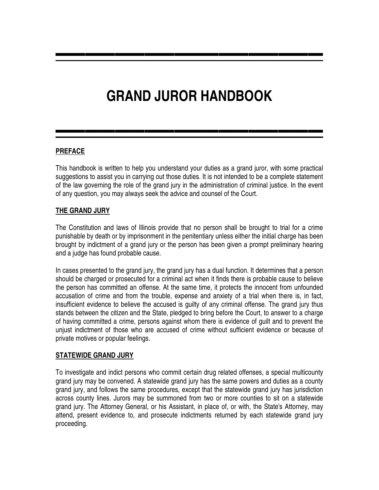## **GRAND JUROR HANDBOOK**

▬▬▬▬▬▬▬▬▬▬▬▬▬▬▬▬▬▬

▬▬▬▬▬▬▬▬▬▬▬▬▬▬▬▬▬▬

## **PREFACE**

This handbook is written to help you understand your duties as a grand juror, with some practical suggestions to assist you in carrying out those duties. It is not intended to be a complete statement of the law governing the role of the grand jury in the administration of criminal justice. In the event of any question, you may always seek the advice and counsel of the Court.

## **THE GRAND JURY**

The Constitution and laws of Illinois provide that no person shall be brought to trial for a crime punishable by death or by imprisonment in the penitentiary unless either the initial charge has been brought by indictment of a grand jury or the person has been given a prompt preliminary hearing and a judge has found probable cause.

In cases presented to the grand jury, the grand jury has a dual function. It determines that a person should be charged or prosecuted for a criminal act when it finds there is probable cause to believe the person has committed an offense. At the same time, it protects the innocent from unfounded accusation of crime and from the trouble, expense and anxiety of a trial when there is, in fact, insufficient evidence to believe the accused is guilty of any criminal offense. The grand jury thus stands between the citizen and the State, pledged to bring before the Court, to answer to a charge of having committed a crime, persons against whom there is evidence of guilt and to prevent the unjust indictment of those who are accused of crime without sufficient evidence or because of private motives or popular feelings.

## **STATEWIDE GRAND JURY**

To investigate and indict persons who commit certain drug related offenses, a special multicounty grand jury may be convened. A statewide grand jury has the same powers and duties as a county grand jury, and follows the same procedures, except that the statewide grand jury has jurisdiction across county lines. Jurors may be summoned from two or more counties to sit on a statewide grand jury. The Attorney General, or his Assistant, in place of, or with, the State's Attorney, may attend, present evidence to, and prosecute indictments returned by each statewide grand jury proceeding.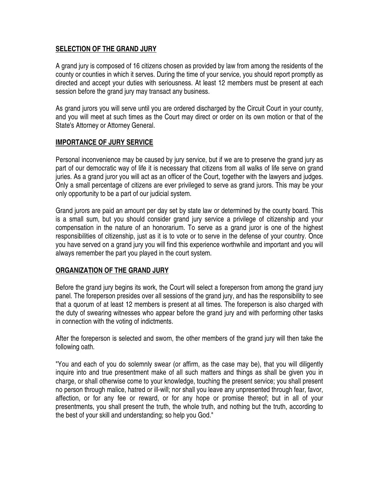## **SELECTION OF THE GRAND JURY**

A grand jury is composed of 16 citizens chosen as provided by law from among the residents of the county or counties in which it serves. During the time of your service, you should report promptly as directed and accept your duties with seriousness. At least 12 members must be present at each session before the grand jury may transact any business.

As grand jurors you will serve until you are ordered discharged by the Circuit Court in your county, and you will meet at such times as the Court may direct or order on its own motion or that of the State's Attorney or Attorney General.

## **IMPORTANCE OF JURY SERVICE**

Personal inconvenience may be caused by jury service, but if we are to preserve the grand jury as part of our democratic way of life it is necessary that citizens from all walks of life serve on grand juries. As a grand juror you will act as an officer of the Court, together with the lawyers and judges. Only a small percentage of citizens are ever privileged to serve as grand jurors. This may be your only opportunity to be a part of our judicial system.

Grand jurors are paid an amount per day set by state law or determined by the county board. This is a small sum, but you should consider grand jury service a privilege of citizenship and your compensation in the nature of an honorarium. To serve as a grand juror is one of the highest responsibilities of citizenship, just as it is to vote or to serve in the defense of your country. Once you have served on a grand jury you will find this experience worthwhile and important and you will always remember the part you played in the court system.

## **ORGANIZATION OF THE GRAND JURY**

Before the grand jury begins its work, the Court will select a foreperson from among the grand jury panel. The foreperson presides over all sessions of the grand jury, and has the responsibility to see that a quorum of at least 12 members is present at all times. The foreperson is also charged with the duty of swearing witnesses who appear before the grand jury and with performing other tasks in connection with the voting of indictments.

After the foreperson is selected and sworn, the other members of the grand jury will then take the following oath.

"You and each of you do solemnly swear (or affirm, as the case may be), that you will diligently inquire into and true presentment make of all such matters and things as shall be given you in charge, or shall otherwise come to your knowledge, touching the present service; you shall present no person through malice, hatred or ill-will; nor shall you leave any unpresented through fear, favor, affection, or for any fee or reward, or for any hope or promise thereof; but in all of your presentments, you shall present the truth, the whole truth, and nothing but the truth, according to the best of your skill and understanding; so help you God."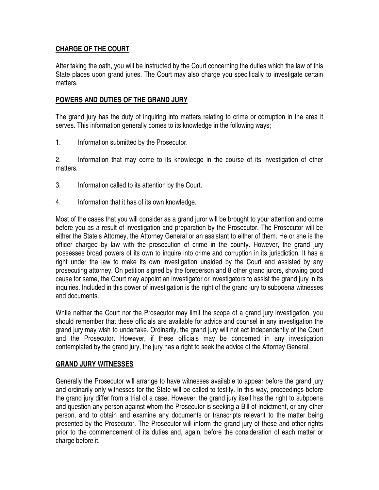## **CHARGE OF THE COURT**

After taking the oath, you will be instructed by the Court concerning the duties which the law of this State places upon grand juries. The Court may also charge you specifically to investigate certain matters.

## **POWERS AND DUTIES OF THE GRAND JURY**

The grand jury has the duty of inquiring into matters relating to crime or corruption in the area it serves. This information generally comes to its knowledge in the following ways;

1. Information submitted by the Prosecutor.

2. Information that may come to its knowledge in the course of its investigation of other matters.

- 3. Information called to its attention by the Court.
- 4. Information that it has of its own knowledge.

Most of the cases that you will consider as a grand juror will be brought to your attention and come before you as a result of investigation and preparation by the Prosecutor. The Prosecutor will be either the State's Attorney, the Attorney General or an assistant to either of them. He or she is the officer charged by law with the prosecution of crime in the county. However, the grand jury possesses broad powers of its own to inquire into crime and corruption in its jurisdiction. It has a right under the law to make its own investigation unaided by the Court and assisted by any prosecuting attorney. On petition signed by the foreperson and 8 other grand jurors, showing good cause for same, the Court may appoint an investigator or investigators to assist the grand jury in its inquiries. Included in this power of investigation is the right of the grand jury to subpoena witnesses and documents.

While neither the Court nor the Prosecutor may limit the scope of a grand jury investigation, you should remember that these officials are available for advice and counsel in any investigation the grand jury may wish to undertake. Ordinarily, the grand jury will not act independently of the Court and the Prosecutor. However, if these officials may be concerned in any investigation contemplated by the grand jury, the jury has a right to seek the advice of the Attorney General.

## **GRAND JURY WITNESSES**

Generally the Prosecutor will arrange to have witnesses available to appear before the grand jury and ordinarily only witnesses for the State will be called to testify. In this way, proceedings before the grand jury differ from a trial of a case. However, the grand jury itself has the right to subpoena and question any person against whom the Prosecutor is seeking a Bill of Indictment, or any other person, and to obtain and examine any documents or transcripts relevant to the matter being presented by the Prosecutor. The Prosecutor will inform the grand jury of these and other rights prior to the commencement of its duties and, again, before the consideration of each matter or charge before it.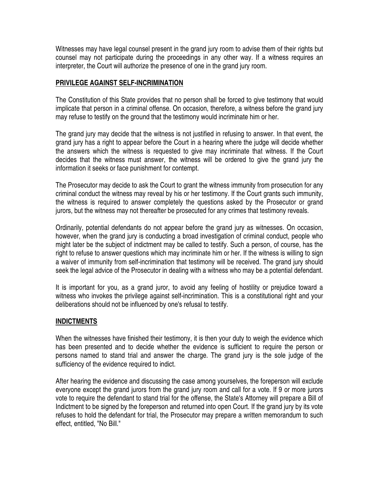Witnesses may have legal counsel present in the grand jury room to advise them of their rights but counsel may not participate during the proceedings in any other way. If a witness requires an interpreter, the Court will authorize the presence of one in the grand jury room.

#### **PRIVILEGE AGAINST SELF-INCRIMINATION**

The Constitution of this State provides that no person shall be forced to give testimony that would implicate that person in a criminal offense. On occasion, therefore, a witness before the grand jury may refuse to testify on the ground that the testimony would incriminate him or her.

The grand jury may decide that the witness is not justified in refusing to answer. In that event, the grand jury has a right to appear before the Court in a hearing where the judge will decide whether the answers which the witness is requested to give may incriminate that witness. If the Court decides that the witness must answer, the witness will be ordered to give the grand jury the information it seeks or face punishment for contempt.

The Prosecutor may decide to ask the Court to grant the witness immunity from prosecution for any criminal conduct the witness may reveal by his or her testimony. If the Court grants such immunity, the witness is required to answer completely the questions asked by the Prosecutor or grand jurors, but the witness may not thereafter be prosecuted for any crimes that testimony reveals.

Ordinarily, potential defendants do not appear before the grand jury as witnesses. On occasion, however, when the grand jury is conducting a broad investigation of criminal conduct, people who might later be the subject of indictment may be called to testify. Such a person, of course, has the right to refuse to answer questions which may incriminate him or her. If the witness is willing to sign a waiver of immunity from self-incrimination that testimony will be received. The grand jury should seek the legal advice of the Prosecutor in dealing with a witness who may be a potential defendant.

It is important for you, as a grand juror, to avoid any feeling of hostility or prejudice toward a witness who invokes the privilege against self-incrimination. This is a constitutional right and your deliberations should not be influenced by one's refusal to testify.

## **INDICTMENTS**

When the witnesses have finished their testimony, it is then your duty to weigh the evidence which has been presented and to decide whether the evidence is sufficient to require the person or persons named to stand trial and answer the charge. The grand jury is the sole judge of the sufficiency of the evidence required to indict.

After hearing the evidence and discussing the case among yourselves, the foreperson will exclude everyone except the grand jurors from the grand jury room and call for a vote. If 9 or more jurors vote to require the defendant to stand trial for the offense, the State's Attorney will prepare a Bill of Indictment to be signed by the foreperson and returned into open Court. If the grand jury by its vote refuses to hold the defendant for trial, the Prosecutor may prepare a written memorandum to such effect, entitled, "No Bill."